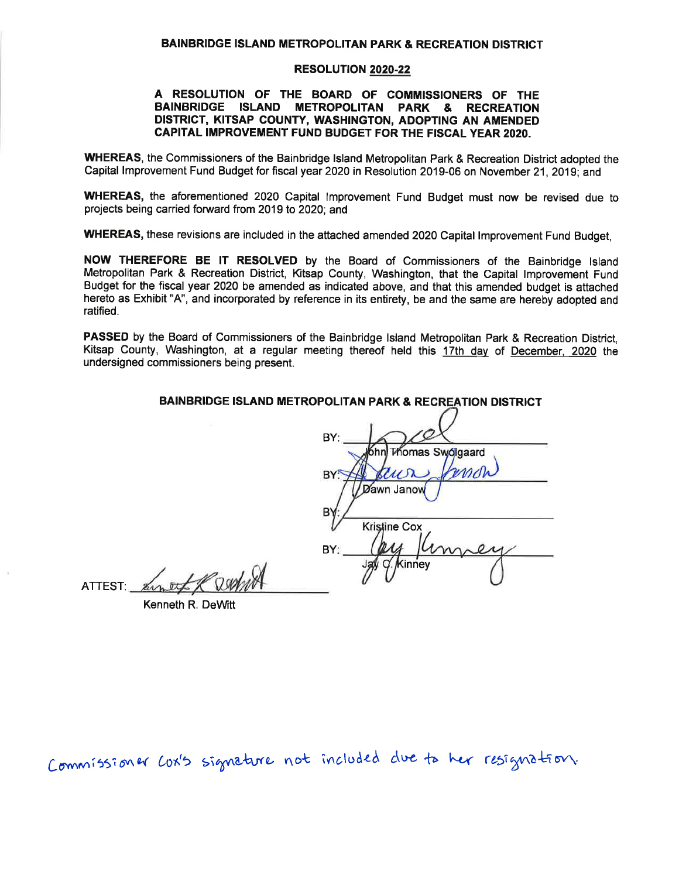### **BAINBRIDGE ISLAND METROPOLITAN PARK & RECREATION DISTRICT**

## **RESOLUTION 2020-22**

## A RESOLUTION OF THE BOARD OF COMMISSIONERS OF THE BAINBRIDGE ISLAND METROPOLITAN PARK & RECREATION DISTRICT, KITSAP COUNTY, WASHINGTON, ADOPTING AN AMENDED CAPITAL IMPROVEMENT FUND BUDGET FOR THE FISCAL YEAR 2020.

WHEREAS, the Commissioners of the Bainbridge Island Metropolitan Park & Recreation District adopted the Capital Improvement Fund Budget for fiscal year 2020 in Resolution 2019-06 on November 21, 2019; and

WHEREAS, the aforementioned 2020 Capital Improvement Fund Budget must now be revised due to projects being carried forward from 2019 to 2020; and

WHEREAS, these revisions are included in the attached amended 2020 Capital Improvement Fund Budget,

NOW THEREFORE BE IT RESOLVED by the Board of Commissioners of the Bainbridge Island Metropolitan Park & Recreation District, Kitsap County, Washington, that the Capital Improvement Fund Budget for the fiscal year 2020 be amended as indicated above, and that this amended budget is attached hereto as Exhibit "A", and incorporated by reference in its entirety, be and the same are hereby adopted and ratified.

PASSED by the Board of Commissioners of the Bainbridge Island Metropolitan Park & Recreation District. Kitsap County, Washington, at a regular meeting thereof held this 17th day of December, 2020 the undersigned commissioners being present.

**BAINBRIDGE ISLAND METROPOLITAN PARK & RECREATION DISTRICT** 

| BY:                  |
|----------------------|
| ohn Thomas Swolgaard |
| kuor                 |
| <b>Zawn Janow</b>    |
| в                    |
| Kristine Cox         |
| BY:                  |
| Kinney               |
|                      |

ATTEST Annet & Dephin

Kenneth R. DeWitt

Commissioner Cox's signature not included due to her resignation.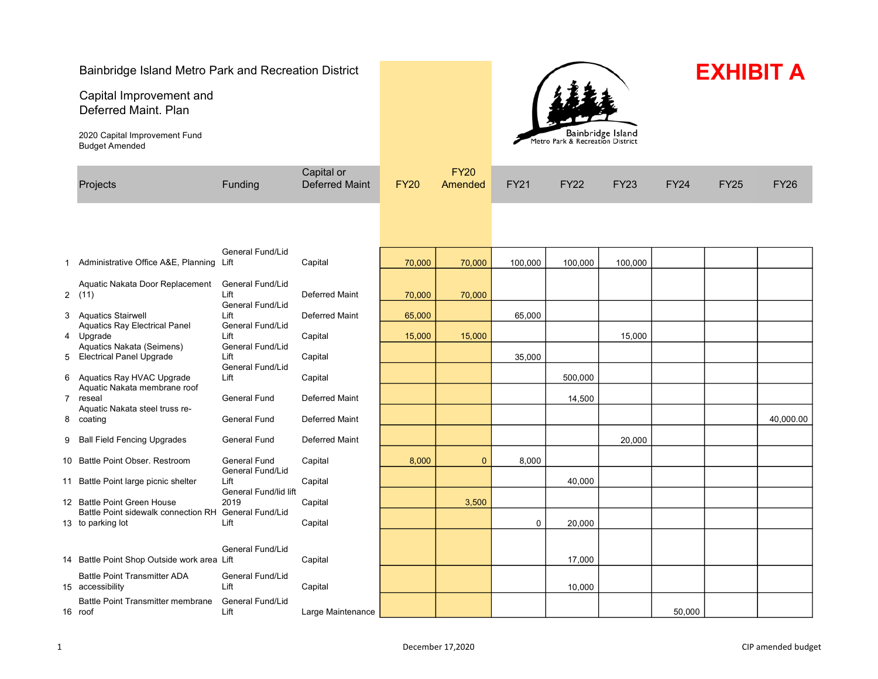# Bainbridge Island Metro Park and Recreation District

Capital Improvement and Deferred Maint. Plan

2020 Capital Improvement Fund Budget Amended



# **EXHIBIT A**

|   | Projects                                                                  | Funding                                             | Capital or<br><b>Deferred Maint</b> | <b>FY20</b> | <b>FY20</b><br>Amended | <b>FY21</b> | <b>FY22</b> | <b>FY23</b> | <b>FY24</b> | <b>FY25</b> | <b>FY26</b> |
|---|---------------------------------------------------------------------------|-----------------------------------------------------|-------------------------------------|-------------|------------------------|-------------|-------------|-------------|-------------|-------------|-------------|
|   |                                                                           |                                                     |                                     |             |                        |             |             |             |             |             |             |
|   | 1 Administrative Office A&E, Planning Lift                                | General Fund/Lid                                    | Capital                             | 70,000      | 70,000                 | 100,000     | 100,000     | 100,000     |             |             |             |
|   | Aquatic Nakata Door Replacement<br>2(11)                                  | <b>General Fund/Lid</b><br>Lift<br>General Fund/Lid | Deferred Maint                      | 70,000      | 70,000                 |             |             |             |             |             |             |
|   | 3 Aquatics Stairwell                                                      | Lift                                                | <b>Deferred Maint</b>               | 65,000      |                        | 65,000      |             |             |             |             |             |
|   | <b>Aquatics Ray Electrical Panel</b><br>4 Upgrade                         | General Fund/Lid<br>Lift                            | Capital                             | 15,000      | 15,000                 |             |             | 15,000      |             |             |             |
| 5 | Aquatics Nakata (Seimens)<br><b>Electrical Panel Upgrade</b>              | General Fund/Lid<br>Lift                            | Capital                             |             |                        | 35,000      |             |             |             |             |             |
|   | 6 Aquatics Ray HVAC Upgrade                                               | General Fund/Lid<br>Lift                            | Capital                             |             |                        |             | 500,000     |             |             |             |             |
|   | Aquatic Nakata membrane roof<br>7 reseal                                  | <b>General Fund</b>                                 | <b>Deferred Maint</b>               |             |                        |             | 14,500      |             |             |             |             |
|   | Aquatic Nakata steel truss re-                                            |                                                     |                                     |             |                        |             |             |             |             |             |             |
|   | 8 coating                                                                 | <b>General Fund</b>                                 | Deferred Maint                      |             |                        |             |             |             |             |             | 40,000.00   |
| 9 | <b>Ball Field Fencing Upgrades</b>                                        | <b>General Fund</b>                                 | <b>Deferred Maint</b>               |             |                        |             |             | 20,000      |             |             |             |
|   | 10 Battle Point Obser. Restroom                                           | <b>General Fund</b>                                 | Capital                             | 8,000       | $\mathbf{0}$           | 8,000       |             |             |             |             |             |
|   | 11 Battle Point large picnic shelter                                      | General Fund/Lid<br>Lift                            | Capital                             |             |                        |             | 40,000      |             |             |             |             |
|   | 12 Battle Point Green House                                               | General Fund/lid lift<br>2019                       | Capital                             |             | 3,500                  |             |             |             |             |             |             |
|   | Battle Point sidewalk connection RH General Fund/Lid<br>13 to parking lot | Lift                                                | Capital                             |             |                        | $\mathbf 0$ | 20,000      |             |             |             |             |
|   |                                                                           |                                                     |                                     |             |                        |             |             |             |             |             |             |
|   | 14 Battle Point Shop Outside work area Lift                               | <b>General Fund/Lid</b>                             | Capital                             |             |                        |             | 17,000      |             |             |             |             |
|   | <b>Battle Point Transmitter ADA</b><br>15 accessibility                   | General Fund/Lid<br>Lift                            | Capital                             |             |                        |             | 10,000      |             |             |             |             |
|   | Battle Point Transmitter membrane<br>16 roof                              | <b>General Fund/Lid</b><br>Lift                     | Large Maintenance                   |             |                        |             |             |             | 50,000      |             |             |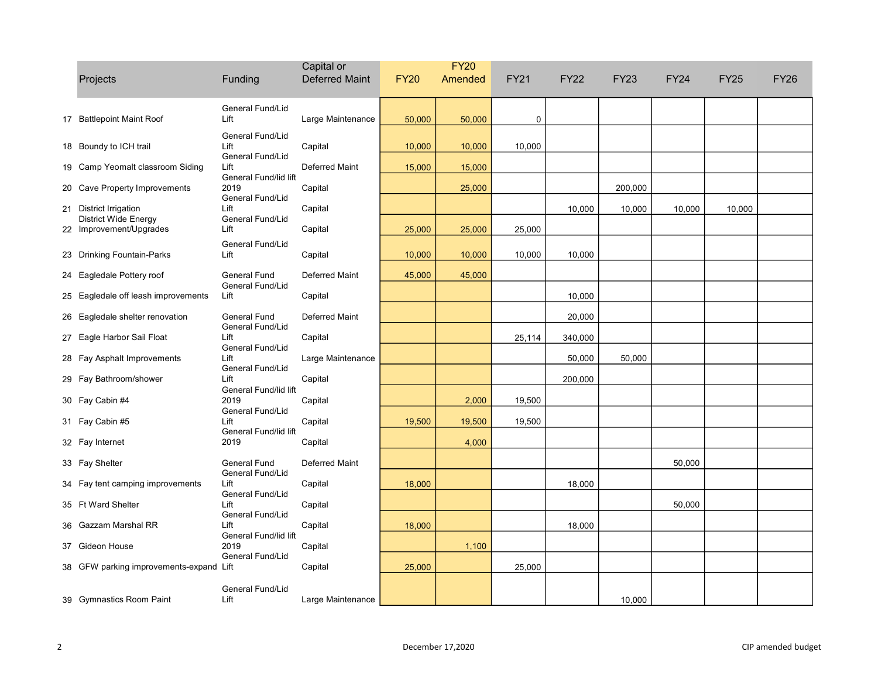|                                                |                                                   | Capital or            | <b>FY20</b> |         |        |             |             |             |             |             |
|------------------------------------------------|---------------------------------------------------|-----------------------|-------------|---------|--------|-------------|-------------|-------------|-------------|-------------|
| Projects                                       | Funding                                           | <b>Deferred Maint</b> | <b>FY20</b> | Amended | FY21   | <b>FY22</b> | <b>FY23</b> | <b>FY24</b> | <b>FY25</b> | <b>FY26</b> |
| 17 Battlepoint Maint Roof                      | General Fund/Lid<br>Lift                          | Large Maintenance     | 50,000      | 50,000  | 0      |             |             |             |             |             |
| 18 Boundy to ICH trail                         | General Fund/Lid<br>Lift<br>General Fund/Lid      | Capital               | 10,000      | 10,000  | 10,000 |             |             |             |             |             |
| 19 Camp Yeomalt classroom Siding               | Lift                                              | <b>Deferred Maint</b> | 15,000      | 15,000  |        |             |             |             |             |             |
| 20 Cave Property Improvements                  | General Fund/lid lift<br>2019<br>General Fund/Lid | Capital               |             | 25,000  |        |             | 200,000     |             |             |             |
| 21 District Irrigation<br>District Wide Energy | Lift<br>General Fund/Lid                          | Capital               |             |         |        | 10,000      | 10,000      | 10,000      | 10,000      |             |
| 22 Improvement/Upgrades                        | Lift                                              | Capital               | 25,000      | 25,000  | 25,000 |             |             |             |             |             |
| 23 Drinking Fountain-Parks                     | General Fund/Lid<br>Lift                          | Capital               | 10,000      | 10,000  | 10,000 | 10,000      |             |             |             |             |
| 24 Eagledale Pottery roof                      | <b>General Fund</b>                               | <b>Deferred Maint</b> | 45,000      | 45,000  |        |             |             |             |             |             |
| 25 Eagledale off leash improvements            | General Fund/Lid<br>Lift                          | Capital               |             |         |        | 10,000      |             |             |             |             |
| 26 Eagledale shelter renovation                | General Fund                                      | <b>Deferred Maint</b> |             |         |        | 20,000      |             |             |             |             |
| 27 Eagle Harbor Sail Float                     | General Fund/Lid<br>Lift<br>General Fund/Lid      | Capital               |             |         | 25,114 | 340,000     |             |             |             |             |
| 28 Fay Asphalt Improvements                    | Lift                                              | Large Maintenance     |             |         |        | 50,000      | 50,000      |             |             |             |
| 29 Fay Bathroom/shower                         | General Fund/Lid<br>Lift<br>General Fund/lid lift | Capital               |             |         |        | 200,000     |             |             |             |             |
| 30 Fay Cabin #4                                | 2019<br>General Fund/Lid                          | Capital               |             | 2,000   | 19,500 |             |             |             |             |             |
| 31 Fay Cabin #5                                | Lift                                              | Capital               | 19,500      | 19,500  | 19,500 |             |             |             |             |             |
| 32 Fay Internet                                | General Fund/lid lift<br>2019                     | Capital               |             | 4,000   |        |             |             |             |             |             |
| 33 Fay Shelter                                 | <b>General Fund</b><br>General Fund/Lid           | <b>Deferred Maint</b> |             |         |        |             |             | 50,000      |             |             |
| 34 Fay tent camping improvements               | Lift                                              | Capital               | 18,000      |         |        | 18,000      |             |             |             |             |
| 35 Ft Ward Shelter                             | General Fund/Lid<br>Lift<br>General Fund/Lid      | Capital               |             |         |        |             |             | 50,000      |             |             |
| 36 Gazzam Marshal RR                           | Lift                                              | Capital               | 18,000      |         |        | 18,000      |             |             |             |             |
| 37 Gideon House                                | General Fund/lid lift<br>2019<br>General Fund/Lid | Capital               |             | 1,100   |        |             |             |             |             |             |
| 38 GFW parking improvements-expand Lift        |                                                   | Capital               | 25,000      |         | 25,000 |             |             |             |             |             |
| 39 Gymnastics Room Paint                       | General Fund/Lid<br>Lift                          | Large Maintenance     |             |         |        |             | 10,000      |             |             |             |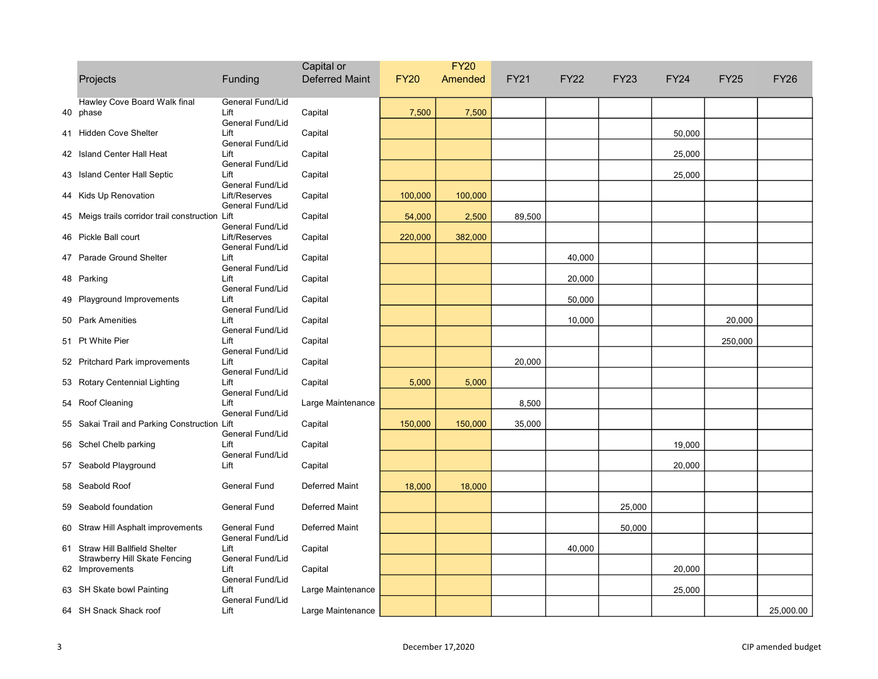|    |                                                                  |                                   | Capital or            | <b>FY20</b> |         |             |             |             |             |             |             |
|----|------------------------------------------------------------------|-----------------------------------|-----------------------|-------------|---------|-------------|-------------|-------------|-------------|-------------|-------------|
|    | Projects                                                         | Funding                           | <b>Deferred Maint</b> | <b>FY20</b> | Amended | <b>FY21</b> | <b>FY22</b> | <b>FY23</b> | <b>FY24</b> | <b>FY25</b> | <b>FY26</b> |
| 40 | Hawley Cove Board Walk final<br>phase                            | General Fund/Lid<br>Lift          | Capital               | 7,500       | 7,500   |             |             |             |             |             |             |
|    | 41 Hidden Cove Shelter                                           | General Fund/Lid<br>Lift          | Capital               |             |         |             |             |             | 50,000      |             |             |
|    | 42 Island Center Hall Heat                                       | General Fund/Lid<br>Lift          | Capital               |             |         |             |             |             | 25,000      |             |             |
|    | 43 Island Center Hall Septic                                     | General Fund/Lid<br>Lift          | Capital               |             |         |             |             |             | 25,000      |             |             |
|    | 44 Kids Up Renovation                                            | General Fund/Lid<br>Lift/Reserves | Capital               | 100,000     | 100,000 |             |             |             |             |             |             |
|    | 45 Meigs trails corridor trail construction Lift                 | General Fund/Lid                  | Capital               | 54,000      | 2,500   | 89,500      |             |             |             |             |             |
|    | 46 Pickle Ball court                                             | General Fund/Lid<br>Lift/Reserves | Capital               | 220,000     | 382,000 |             |             |             |             |             |             |
|    | 47 Parade Ground Shelter                                         | General Fund/Lid<br>Lift          | Capital               |             |         |             | 40,000      |             |             |             |             |
|    | 48 Parking                                                       | General Fund/Lid<br>Lift          | Capital               |             |         |             | 20,000      |             |             |             |             |
|    | 49 Playground Improvements                                       | General Fund/Lid<br>Lift          | Capital               |             |         |             | 50,000      |             |             |             |             |
|    | 50 Park Amenities                                                | General Fund/Lid<br>Lift          | Capital               |             |         |             | 10,000      |             |             | 20,000      |             |
|    | 51 Pt White Pier                                                 | General Fund/Lid<br>Lift          | Capital               |             |         |             |             |             |             | 250,000     |             |
|    | 52 Pritchard Park improvements                                   | General Fund/Lid<br>Lift          | Capital               |             |         | 20,000      |             |             |             |             |             |
|    | 53 Rotary Centennial Lighting                                    | General Fund/Lid<br>Lift          | Capital               | 5,000       | 5,000   |             |             |             |             |             |             |
|    | 54 Roof Cleaning                                                 | General Fund/Lid<br>Lift          | Large Maintenance     |             |         | 8,500       |             |             |             |             |             |
|    | 55 Sakai Trail and Parking Construction Lift                     | General Fund/Lid                  | Capital               | 150,000     | 150,000 | 35,000      |             |             |             |             |             |
|    | 56 Schel Chelb parking                                           | General Fund/Lid<br>Lift          | Capital               |             |         |             |             |             | 19,000      |             |             |
|    | 57 Seabold Playground                                            | General Fund/Lid<br>Lift          | Capital               |             |         |             |             |             | 20,000      |             |             |
|    | 58 Seabold Roof                                                  | General Fund                      | <b>Deferred Maint</b> | 18,000      | 18,000  |             |             |             |             |             |             |
|    | 59 Seabold foundation                                            | General Fund                      | Deferred Maint        |             |         |             |             | 25,000      |             |             |             |
|    | 60 Straw Hill Asphalt improvements                               | General Fund<br>General Fund/Lid  | <b>Deferred Maint</b> |             |         |             |             | 50,000      |             |             |             |
|    | 61 Straw Hill Ballfield Shelter<br>Strawberry Hill Skate Fencing | Lift<br>General Fund/Lid          | Capital               |             |         |             | 40,000      |             |             |             |             |
|    | 62 Improvements                                                  | Lift<br>General Fund/Lid          | Capital               |             |         |             |             |             | 20,000      |             |             |
|    | 63 SH Skate bowl Painting                                        | Lift<br>General Fund/Lid          | Large Maintenance     |             |         |             |             |             | 25,000      |             |             |
|    | 64 SH Snack Shack roof                                           | Lift                              | Large Maintenance     |             |         |             |             |             |             |             | 25,000.00   |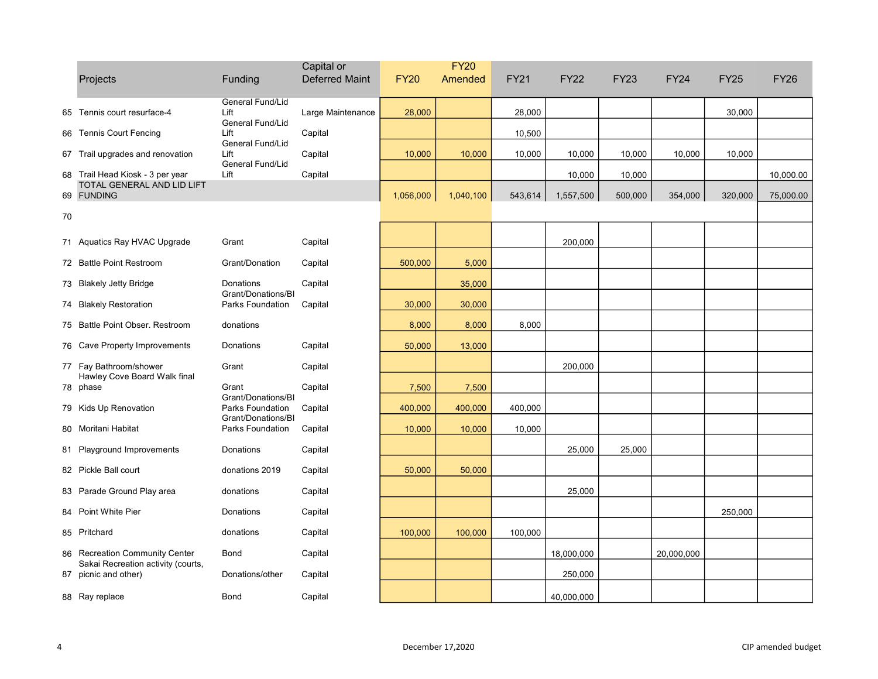|    | Projects                                                   | Funding                                | Capital or<br><b>Deferred Maint</b> | <b>FY20</b> | <b>FY20</b><br>Amended | <b>FY21</b> | <b>FY22</b> | <b>FY23</b> | <b>FY24</b> | <b>FY25</b> | <b>FY26</b> |
|----|------------------------------------------------------------|----------------------------------------|-------------------------------------|-------------|------------------------|-------------|-------------|-------------|-------------|-------------|-------------|
| 65 | Tennis court resurface-4                                   | General Fund/Lid<br>Lift               | Large Maintenance                   | 28,000      |                        | 28,000      |             |             |             | 30,000      |             |
|    | 66 Tennis Court Fencing                                    | General Fund/Lid<br>Lift               | Capital                             |             |                        | 10,500      |             |             |             |             |             |
|    | 67 Trail upgrades and renovation                           | General Fund/Lid<br>Lift               | Capital                             | 10,000      | 10,000                 | 10,000      | 10,000      | 10,000      | 10,000      | 10,000      |             |
|    | 68 Trail Head Kiosk - 3 per year                           | General Fund/Lid<br>Lift               | Capital                             |             |                        |             | 10,000      | 10,000      |             |             | 10,000.00   |
|    | TOTAL GENERAL AND LID LIFT<br>69 FUNDING                   |                                        |                                     |             |                        |             |             |             |             |             |             |
|    |                                                            |                                        |                                     | 1,056,000   | 1,040,100              | 543,614     | 1,557,500   | 500,000     | 354,000     | 320,000     | 75,000.00   |
| 70 |                                                            |                                        |                                     |             |                        |             |             |             |             |             |             |
|    | 71 Aquatics Ray HVAC Upgrade                               | Grant                                  | Capital                             |             |                        |             | 200,000     |             |             |             |             |
|    | 72 Battle Point Restroom                                   | Grant/Donation                         | Capital                             | 500,000     | 5,000                  |             |             |             |             |             |             |
|    | 73 Blakely Jetty Bridge                                    | Donations                              | Capital                             |             | 35,000                 |             |             |             |             |             |             |
|    | 74 Blakely Restoration                                     | Grant/Donations/BI<br>Parks Foundation | Capital                             | 30,000      | 30,000                 |             |             |             |             |             |             |
|    | 75 Battle Point Obser. Restroom                            | donations                              |                                     | 8,000       | 8,000                  | 8,000       |             |             |             |             |             |
|    | 76 Cave Property Improvements                              | Donations                              | Capital                             | 50,000      | 13,000                 |             |             |             |             |             |             |
|    | 77 Fay Bathroom/shower                                     | Grant                                  | Capital                             |             |                        |             | 200,000     |             |             |             |             |
|    | Hawley Cove Board Walk final<br>78 phase                   | Grant                                  | Capital                             | 7,500       | 7,500                  |             |             |             |             |             |             |
|    | 79 Kids Up Renovation                                      | Grant/Donations/BI<br>Parks Foundation | Capital                             | 400,000     | 400,000                | 400,000     |             |             |             |             |             |
|    | 80 Moritani Habitat                                        | Grant/Donations/BI<br>Parks Foundation | Capital                             | 10,000      | 10,000                 | 10,000      |             |             |             |             |             |
|    | 81 Playground Improvements                                 | Donations                              | Capital                             |             |                        |             | 25,000      | 25,000      |             |             |             |
|    | 82 Pickle Ball court                                       | donations 2019                         | Capital                             | 50,000      | 50,000                 |             |             |             |             |             |             |
|    | 83 Parade Ground Play area                                 | donations                              | Capital                             |             |                        |             | 25,000      |             |             |             |             |
|    | 84 Point White Pier                                        | Donations                              | Capital                             |             |                        |             |             |             |             | 250,000     |             |
|    | 85 Pritchard                                               | donations                              | Capital                             | 100,000     | 100,000                | 100,000     |             |             |             |             |             |
|    | 86 Recreation Community Center                             | Bond                                   | Capital                             |             |                        |             | 18,000,000  |             | 20,000,000  |             |             |
|    | Sakai Recreation activity (courts,<br>87 picnic and other) | Donations/other                        | Capital                             |             |                        |             | 250,000     |             |             |             |             |
|    | 88 Ray replace                                             | Bond                                   | Capital                             |             |                        |             | 40,000,000  |             |             |             |             |